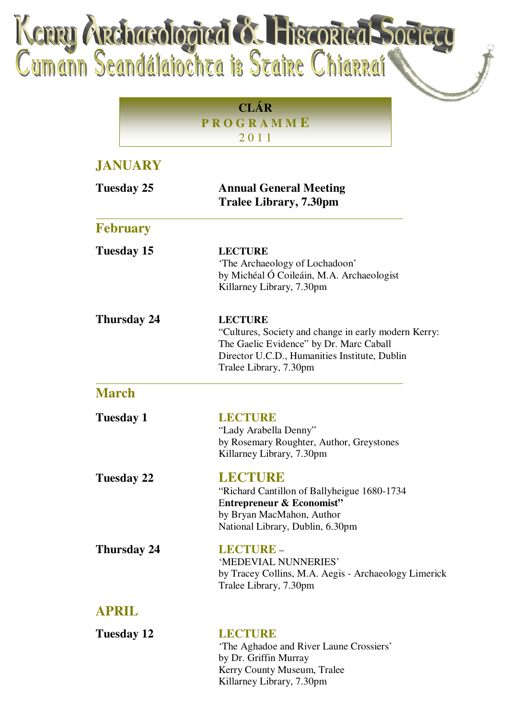Kenny Anchaeologied & Hiszoried Societ

**CLÁR P R O G R A M M E** 2 0 1 1

## **JANUARY Tuesday 25 Annual General Meeting Tralee Library, 7.30pm February Tuesday 15 LECTURE** 'The Archaeology of Lochadoon' by Michéal Ó Coileáin, M.A. Archaeologist Killarney Library, 7.30pm **Thursday 24 LECTURE** "Cultures, Society and change in early modern Kerry: The Gaelic Evidence" by Dr. Marc Caball Director U.C.D., Humanities Institute, Dublin Tralee Library, 7.30pm **March Tuesday 1 LECTURE** "Lady Arabella Denny" by Rosemary Roughter, Author, Greystones Killarney Library, 7.30pm **Tuesday 22 LECTURE** "Richard Cantillon of Ballyheigue 1680-1734 E**ntrepreneur & Economist"** by Bryan MacMahon, Author National Library, Dublin, 6.30pm **Thursday 24 LECTURE** – 'MEDEVIAL NUNNERIES' by Tracey Collins, M.A. Aegis - Archaeology Limerick Tralee Library, 7.30pm **APRIL Tuesday 12 LECTURE** 'The Aghadoe and River Laune Crossiers' by Dr. Griffin Murray Kerry County Museum, Tralee

Killarney Library, 7.30pm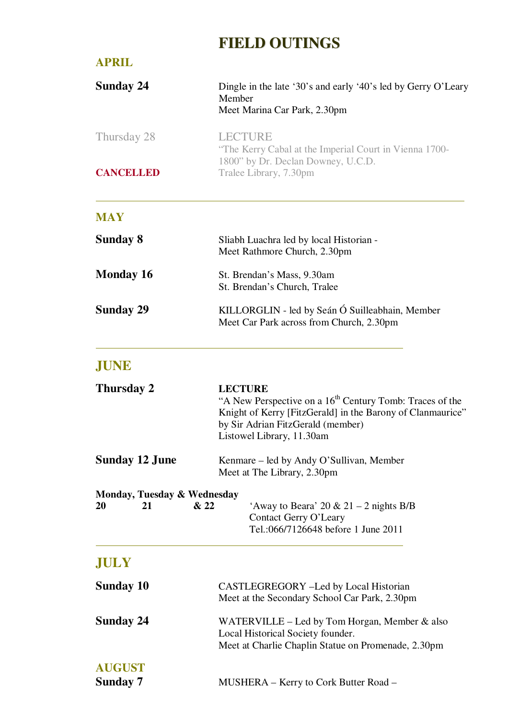## **FIELD OUTINGS**

| <b>APRIL</b>                                           |                                                                                                                                                                                                                        |
|--------------------------------------------------------|------------------------------------------------------------------------------------------------------------------------------------------------------------------------------------------------------------------------|
| <b>Sunday 24</b>                                       | Dingle in the late '30's and early '40's led by Gerry O'Leary<br>Member<br>Meet Marina Car Park, 2.30pm                                                                                                                |
| Thursday 28                                            | <b>LECTURE</b><br>"The Kerry Cabal at the Imperial Court in Vienna 1700-<br>1800" by Dr. Declan Downey, U.C.D.                                                                                                         |
| <b>CANCELLED</b>                                       | Tralee Library, 7.30pm                                                                                                                                                                                                 |
| <b>MAY</b>                                             |                                                                                                                                                                                                                        |
| <b>Sunday 8</b>                                        | Sliabh Luachra led by local Historian -<br>Meet Rathmore Church, 2.30pm                                                                                                                                                |
| <b>Monday 16</b>                                       | St. Brendan's Mass, 9.30am<br>St. Brendan's Church, Tralee                                                                                                                                                             |
| <b>Sunday 29</b>                                       | KILLORGLIN - led by Seán Ó Suilleabhain, Member<br>Meet Car Park across from Church, 2.30pm                                                                                                                            |
| JUNE                                                   |                                                                                                                                                                                                                        |
| Thursday 2                                             | <b>LECTURE</b><br>"A New Perspective on a 16 <sup>th</sup> Century Tomb: Traces of the<br>Knight of Kerry [FitzGerald] in the Barony of Clanmaurice"<br>by Sir Adrian FitzGerald (member)<br>Listowel Library, 11.30am |
| <b>Sunday 12 June</b>                                  | Kenmare – led by Andy O'Sullivan, Member<br>Meet at The Library, 2.30pm                                                                                                                                                |
| Monday, Tuesday & Wednesday<br>& 22<br><b>20</b><br>21 | 'Away to Beara' 20 & 21 – 2 nights B/B<br>Contact Gerry O'Leary<br>Tel.:066/7126648 before 1 June 2011                                                                                                                 |
| <b>JULY</b>                                            |                                                                                                                                                                                                                        |
| <b>Sunday 10</b>                                       | CASTLEGREGORY -Led by Local Historian<br>Meet at the Secondary School Car Park, 2.30pm                                                                                                                                 |
| <b>Sunday 24</b>                                       | WATERVILLE – Led by Tom Horgan, Member $\&$ also<br>Local Historical Society founder.<br>Meet at Charlie Chaplin Statue on Promenade, 2.30pm                                                                           |
| <b>AUGUST</b><br><b>Sunday 7</b>                       | MUSHERA – Kerry to Cork Butter Road –                                                                                                                                                                                  |